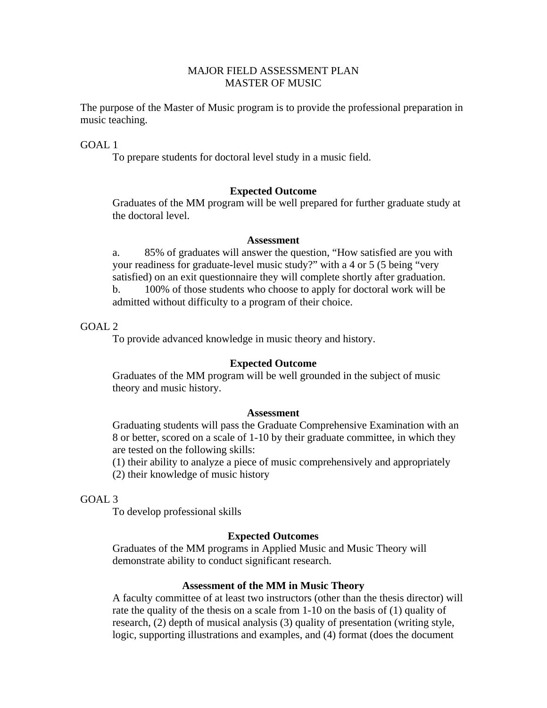# MAJOR FIELD ASSESSMENT PLAN MASTER OF MUSIC

The purpose of the Master of Music program is to provide the professional preparation in music teaching.

GOAL 1

To prepare students for doctoral level study in a music field.

# **Expected Outcome**

Graduates of the MM program will be well prepared for further graduate study at the doctoral level.

### **Assessment**

 a. 85% of graduates will answer the question, "How satisfied are you with your readiness for graduate-level music study?" with a 4 or 5 (5 being "very satisfied) on an exit questionnaire they will complete shortly after graduation. b. 100% of those students who choose to apply for doctoral work will be admitted without difficulty to a program of their choice.

# $GOAI.2$

To provide advanced knowledge in music theory and history.

# **Expected Outcome**

 Graduates of the MM program will be well grounded in the subject of music theory and music history.

### **Assessment**

 Graduating students will pass the Graduate Comprehensive Examination with an 8 or better, scored on a scale of 1-10 by their graduate committee, in which they are tested on the following skills:

 (1) their ability to analyze a piece of music comprehensively and appropriately (2) their knowledge of music history

## GOAL 3

To develop professional skills

# **Expected Outcomes**

 Graduates of the MM programs in Applied Music and Music Theory will demonstrate ability to conduct significant research.

### **Assessment of the MM in Music Theory**

 A faculty committee of at least two instructors (other than the thesis director) will rate the quality of the thesis on a scale from 1-10 on the basis of (1) quality of research, (2) depth of musical analysis (3) quality of presentation (writing style, logic, supporting illustrations and examples, and (4) format (does the document